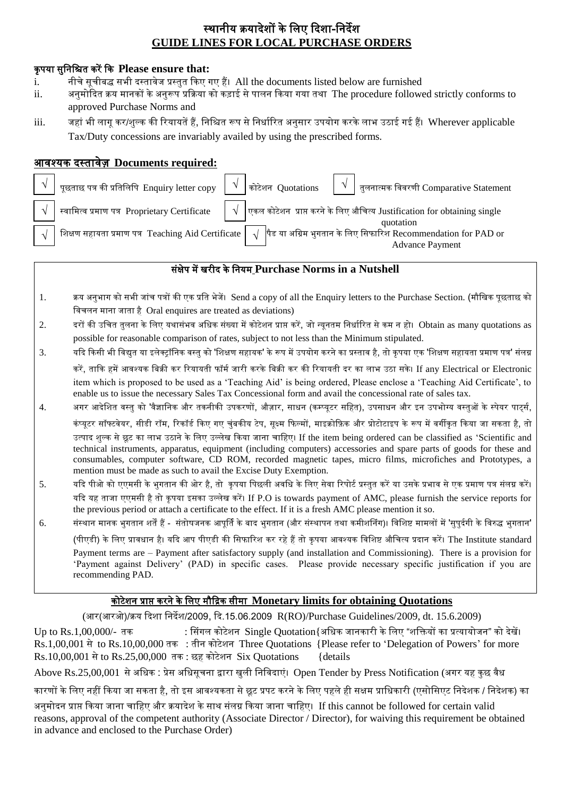# स्थानीय क्रयादेशों के लिए ददशा-लनदेश **GUIDE LINES FOR LOCAL PURCHASE ORDERS**

#### कृ पया सुलनलित करें दक **Please ensure that:**

- i. नीचेसूचीबद्ध सभी दस्तावेज प्रस्तुत दकए गए हैं। All the documents listed below are furnished
- ii. अनुमोददत क्रय मानकों केअनुरूप प्रदक्रया को कडाई सेपािन दकया गया तथा The procedure followed strictly conforms to approved Purchase Norms and
- iii. जहां भी लागू कर/शुल्क की रियायतें हैं, निश्चित रूप से निर्धारित अनुसार उपयोग करके लाभ उठाई गई हैं। Wherever applicable Tax/Duty concessions are invariably availed by using the prescribed forms.

### आवश्यक दस्तावेज़ **Documents required:**

| पूछताछ पत्र की प्रतिलिपि $\rm \;$ Enquiry letter copy $\;$ $\mid \sqrt{\;}$ | कोटेशन  Quotations $\begin{pmatrix} \sqrt{1-\frac{1}{2}} & \frac{1}{2} \end{pmatrix}$ तुलनात्मक विवरणी Comparative Statement                                                                     |
|-----------------------------------------------------------------------------|--------------------------------------------------------------------------------------------------------------------------------------------------------------------------------------------------|
|                                                                             | $\mid \: \sqrt{\;} \mid$ स्वामित्व प्रमाण पत्र  Proprietary Certificate $\;\;\mid \: \sqrt{\;} \mid$ एकल कोटेशन  प्राप्त करने के लिए औचित्य Justification for obtaining single $\;$<br>quotation |
|                                                                             | शिक्षण सहायता प्रमाण पत्र  Teaching Aid Certificate $\sqrt{\frac{1}{3}}$ षेड या अग्रिम भुगतान के लिए सिफारिश Recommendation for PAD or<br><b>Advance Payment</b>                                 |

#### सांक्षेप में खरीद के लनयम **Purchase Norms in a Nutshell**

- 1. क्रय अनुभाग को सभी जाांच पत्रों की एक प्रलत भेजें। Send a copy of all the Enquiry letters to the Purchase Section. (मौलखक पूछताछ को लवचिन माना जाता है Oral enquires are treated as deviations)
- 2. दरों की उचित तुलना के लिए यथासंभव अधिक संख्या में कोटेशन प्राप्त करें, जो न्यूनतम निर्धारित से कम न हो। Obtain as many quotations as possible for reasonable comparison of rates, subject to not less than the Minimum stipulated.
- 3. यदि किसी भी विद्युत या इलेक्ट्रॉनिक वस्तु को 'शिक्षण सहायक' के रूप में उपयोग करने का प्रस्ताव है, तो कृपया एक 'शिक्षण सहायता प्रमाण पत्र' संलग्न

करें. ताकि हमें आवश्यक बिक्री कर रियायती फॉर्म जारी करके बिक्री कर की रियायती दर का लाभ उठा सके। If any Electrical or Electronic item which is proposed to be used as a 'Teaching Aid' is being ordered, Please enclose a 'Teaching Aid Certificate', to enable us to issue the necessary Sales Tax Concessional form and avail the concessional rate of sales tax.

4. अगर आदेशित वस्तु को 'वैज्ञानिक और तकनीकी उपकरणों, औज़ार, साधन (कम्प्यूटर सहित), उपसाधन और इन उपभोग्य वस्तुओं के स्पेयर पाटर्स,

कंप्यूटर सॉफ्टवेयर, सीडी रॉम, रिकॉर्ड किए गए चुंबकीय टेप, सूक्ष्म फिल्मों, माइक्रोफ़िक और प्रोटोटाइप के रूप में वर्गीकृत किया जा सकता है, तो उत्पाद शुल्क से छूट का लाभ उठाने के लिए उल्लेख किया जाना चाहिए। If the item being ordered can be classified as 'Scientific and technical instruments, apparatus, equipment (including computers) accessories and spare parts of goods for these and consumables, computer software, CD ROM, recorded magnetic tapes, micro films, microfiches and Prototypes, a mention must be made as such to avail the Excise Duty Exemption.

5. यदि पीओ को एएमसी के भुगतान की ओर है, तो कृपया पिछली अवधि के लिए सेवा रिपोर्ट प्रस्तुत करें या उसके प्रभाव से एक प्रमाण पत्र संलग्न करें। यदि यह ताजा एएमसी है तो कृपया इसका उल्लेख करें। If P.O is towards payment of AMC, please furnish the service reports for the previous period or attach a certificate to the effect. If it is a fresh AMC please mention it so.

6. संस्थान मानक भुगतान शर्तें हैं - संतोषजनक आपूर्ति के बाद भुगतान (और संस्थापन तथा कमीशनिंग)। विशिष्ट मामलों में 'सुपुर्दगी के विरुद्ध भुगतान'

(पीएडी) के लिए प्रावधान है। यदि आप पीएडी की सिफारिश कर रहे हैं तो कृपया आवश्यक विशिष्ट औचित्य प्रदान करें। The Institute standard

Payment terms are – Payment after satisfactory supply (and installation and Commissioning). There is a provision for 'Payment against Delivery' (PAD) in specific cases. Please provide necessary specific justification if you are recommending PAD.

### कोटेशन प्राप्त करने के लिए मौदिक सीमा **Monetary limits for obtaining Quotations**

(आर(आरओ)/क्रय ददशा लनदेश/2009, दद.15.06.2009 R(RO)/Purchase Guidelines/2009, dt. 15.6.2009)

 $Up$  to Rs.1,00,000/- तक : सिंगल कोटेशन  $Single\ Quotation$  अधिक जानकारी के लिए "शक्तियों का प्रत्यायोजन" को देखें। Rs.1,00,001 सेto Rs.10,00,000 तक : तीन कोटेशन Three Quotations {Please refer to 'Delegation of Powers' for more Rs.10,00,001 सेto Rs.25,00,000 तक : छह कोटेशन Six Quotations {details

Above Rs.25,00,001 से अधिक : प्रेस अधिसूचना द्वारा खुली निविदाएं। Open Tender by Press Notification (अगर यह कुछ वैध

कारणों के लिए नहीं किया जा सकता है, तो इस आवश्यकता से छूट प्रपट करने के लिए पहले ही सक्षम प्राधिकारी (एसोसिएट निदेशक / निदेशक) का

अनुमोदन प्राप्त किया जाना चाहिए और क्रयादेश के साथ संलग्न किया जाना चाहिए। If this cannot be followed for certain valid reasons, approval of the competent authority (Associate Director / Director), for waiving this requirement be obtained in advance and enclosed to the Purchase Order)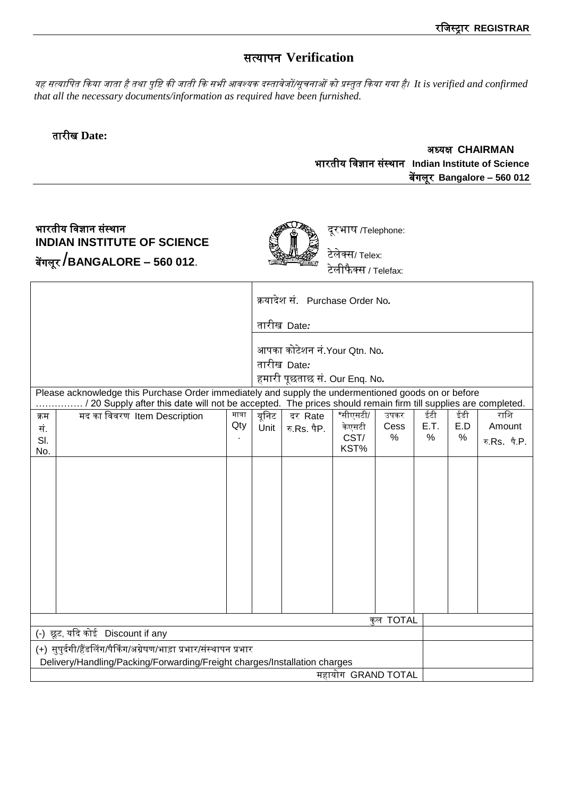# सत्यापन **Verification**

यह सत्यालपत दकया जाता है तथा पुलष्ट की जाती दक सभी आवश्यक दस्तावेजों/सूचनाओं को प्रस्तुत दकया गया है। *It is verified and confirmed that all the necessary documents/information as required have been furnished.*

### तारीख **Date:**

#### अध्यक्ष **CHAIRMAN** भारतीय लवज्ञान सांस्थान **Indian Institute of Science** बेंगिूर **Bangalore – 560 012**

# भारतीय विज्ञान संस्थान **INDIAN INSTITUTE OF SCIENCE** बेंगिूर /**BANGALORE – 560 012**.



दूरभाष /Telephone: टेलेक्स/ Telex:

टेलीफैक्स / Telefax:

|                                                                                                                                                 |                                                                                                                                                                                                                     |       | क्रयादेश सं. Purchase Order No. |              |      |      |     |              |  |  |
|-------------------------------------------------------------------------------------------------------------------------------------------------|---------------------------------------------------------------------------------------------------------------------------------------------------------------------------------------------------------------------|-------|---------------------------------|--------------|------|------|-----|--------------|--|--|
|                                                                                                                                                 | तारीख Date <i>:</i>                                                                                                                                                                                                 |       |                                 |              |      |      |     |              |  |  |
|                                                                                                                                                 |                                                                                                                                                                                                                     |       |                                 |              |      |      |     |              |  |  |
|                                                                                                                                                 |                                                                                                                                                                                                                     |       | आपका कोटेशन नं.Your Qtn. No.    |              |      |      |     |              |  |  |
|                                                                                                                                                 |                                                                                                                                                                                                                     |       | तारीख Date <i>:</i>             |              |      |      |     |              |  |  |
|                                                                                                                                                 |                                                                                                                                                                                                                     |       | हमारी पूछताछ सं. Our Enq. No.   |              |      |      |     |              |  |  |
|                                                                                                                                                 | Please acknowledge this Purchase Order immediately and supply the undermentioned goods on or before<br>/ 20 Supply after this date will not be accepted. The prices should remain firm till supplies are completed. |       |                                 |              |      |      |     |              |  |  |
| मद का विवरण Item Description<br>क्रम                                                                                                            | मात्रा                                                                                                                                                                                                              | यूनिट | दर Rate                         | *सीएसटी/     | उपकर | ईटी  | ईडी | राशि         |  |  |
| सं.                                                                                                                                             | Qty                                                                                                                                                                                                                 | Unit  | रु.Rs. पैP.                     | केएसटी       | Cess | E.T. | E.D | Amount       |  |  |
| SI.                                                                                                                                             |                                                                                                                                                                                                                     |       |                                 | CST/<br>KST% | %    | %    | %   | रु.Rs. पै.P. |  |  |
| No.                                                                                                                                             |                                                                                                                                                                                                                     |       |                                 |              |      |      |     |              |  |  |
|                                                                                                                                                 |                                                                                                                                                                                                                     |       |                                 |              |      |      |     |              |  |  |
|                                                                                                                                                 |                                                                                                                                                                                                                     |       |                                 |              |      |      |     |              |  |  |
|                                                                                                                                                 |                                                                                                                                                                                                                     |       |                                 |              |      |      |     |              |  |  |
|                                                                                                                                                 |                                                                                                                                                                                                                     |       |                                 |              |      |      |     |              |  |  |
|                                                                                                                                                 |                                                                                                                                                                                                                     |       |                                 |              |      |      |     |              |  |  |
|                                                                                                                                                 |                                                                                                                                                                                                                     |       |                                 |              |      |      |     |              |  |  |
|                                                                                                                                                 |                                                                                                                                                                                                                     |       |                                 |              |      |      |     |              |  |  |
|                                                                                                                                                 |                                                                                                                                                                                                                     |       |                                 |              |      |      |     |              |  |  |
|                                                                                                                                                 |                                                                                                                                                                                                                     |       |                                 |              |      |      |     |              |  |  |
|                                                                                                                                                 |                                                                                                                                                                                                                     |       |                                 |              |      |      |     |              |  |  |
|                                                                                                                                                 |                                                                                                                                                                                                                     |       |                                 |              |      |      |     |              |  |  |
| कल TOTAL                                                                                                                                        |                                                                                                                                                                                                                     |       |                                 |              |      |      |     |              |  |  |
| (-) छूट, यदि कोई Discount if any                                                                                                                |                                                                                                                                                                                                                     |       |                                 |              |      |      |     |              |  |  |
| (+) सुपुर्दगी/हैंडलिंग/पैकिंग/अग्रेषण/भाड़ा प्रभार/संस्थापन प्रभार<br>Delivery/Handling/Packing/Forwarding/Freight charges/Installation charges |                                                                                                                                                                                                                     |       |                                 |              |      |      |     |              |  |  |
| महायोग GRAND TOTAL                                                                                                                              |                                                                                                                                                                                                                     |       |                                 |              |      |      |     |              |  |  |